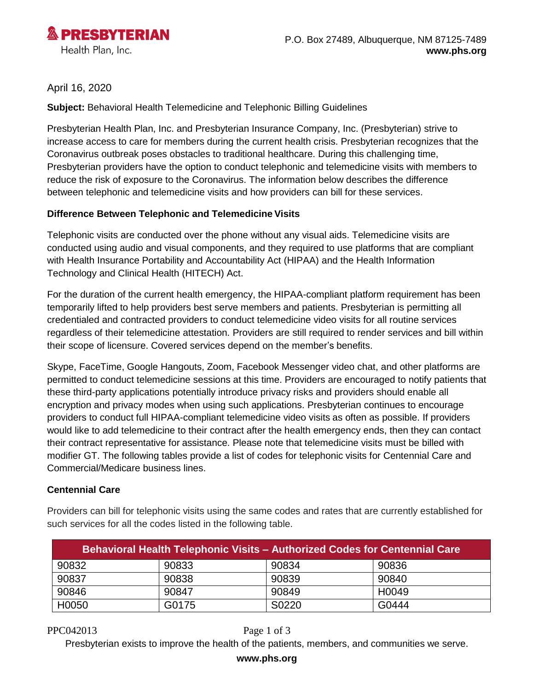

## April 16, 2020

**Subject:** Behavioral Health Telemedicine and Telephonic Billing Guidelines

Presbyterian Health Plan, Inc. and Presbyterian Insurance Company, Inc. (Presbyterian) strive to increase access to care for members during the current health crisis. Presbyterian recognizes that the Coronavirus outbreak poses obstacles to traditional healthcare. During this challenging time, Presbyterian providers have the option to conduct telephonic and telemedicine visits with members to reduce the risk of exposure to the Coronavirus. The information below describes the difference between telephonic and telemedicine visits and how providers can bill for these services.

### **Difference Between Telephonic and Telemedicine Visits**

Telephonic visits are conducted over the phone without any visual aids. Telemedicine visits are conducted using audio and visual components, and they required to use platforms that are compliant with Health Insurance Portability and Accountability Act (HIPAA) and the Health Information Technology and Clinical Health (HITECH) Act.

For the duration of the current health emergency, the HIPAA-compliant platform requirement has been temporarily lifted to help providers best serve members and patients. Presbyterian is permitting all credentialed and contracted providers to conduct telemedicine video visits for all routine services regardless of their telemedicine attestation. Providers are still required to render services and bill within their scope of licensure. Covered services depend on the member's benefits.

Skype, FaceTime, Google Hangouts, Zoom, Facebook Messenger video chat, and other platforms are permitted to conduct telemedicine sessions at this time. Providers are encouraged to notify patients that these third-party applications potentially introduce privacy risks and providers should enable all encryption and privacy modes when using such applications. Presbyterian continues to encourage providers to conduct full HIPAA-compliant telemedicine video visits as often as possible. If providers would like to add telemedicine to their contract after the health emergency ends, then they can contact their contract representative for assistance. Please note that telemedicine visits must be billed with modifier GT. The following tables provide a list of codes for telephonic visits for Centennial Care and Commercial/Medicare business lines.

## **Centennial Care**

Providers can bill for telephonic visits using the same codes and rates that are currently established for such services for all the codes listed in the following table.

| <b>Behavioral Health Telephonic Visits - Authorized Codes for Centennial Care</b> |       |       |       |
|-----------------------------------------------------------------------------------|-------|-------|-------|
| 90832                                                                             | 90833 | 90834 | 90836 |
| 90837                                                                             | 90838 | 90839 | 90840 |
| 90846                                                                             | 90847 | 90849 | H0049 |
| H0050                                                                             | G0175 | S0220 | G0444 |

#### PPC042013 Page 1 of 3

Presbyterian exists to improve the health of the patients, members, and communities we serve.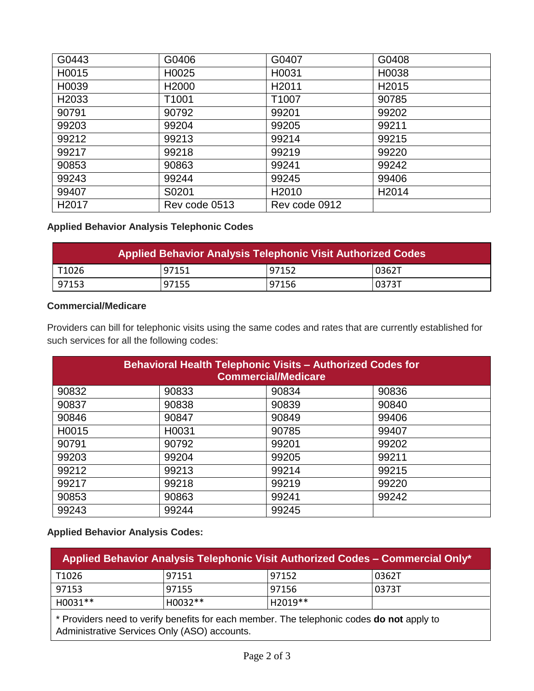| G0443             | G0406             | G0407             | G0408             |
|-------------------|-------------------|-------------------|-------------------|
| H0015             | H0025             | H0031             | H0038             |
| H0039             | H <sub>2000</sub> | H <sub>2011</sub> | H <sub>2015</sub> |
| H <sub>2033</sub> | T1001             | T1007             | 90785             |
| 90791             | 90792             | 99201             | 99202             |
| 99203             | 99204             | 99205             | 99211             |
| 99212             | 99213             | 99214             | 99215             |
| 99217             | 99218             | 99219             | 99220             |
| 90853             | 90863             | 99241             | 99242             |
| 99243             | 99244             | 99245             | 99406             |
| 99407             | S0201             | H <sub>2010</sub> | H <sub>2014</sub> |
| H <sub>2017</sub> | Rev code 0513     | Rev code 0912     |                   |

# **Applied Behavior Analysis Telephonic Codes**

| Applied Behavior Analysis Telephonic Visit Authorized Codes |       |       |       |
|-------------------------------------------------------------|-------|-------|-------|
| T1026                                                       | 97151 | 97152 | 0362T |
| 97153                                                       | 97155 | 97156 | 0373T |

### **Commercial/Medicare**

Providers can bill for telephonic visits using the same codes and rates that are currently established for such services for all the following codes:

| <b>Behavioral Health Telephonic Visits - Authorized Codes for</b><br><b>Commercial/Medicare</b> |       |       |       |
|-------------------------------------------------------------------------------------------------|-------|-------|-------|
| 90832                                                                                           | 90833 | 90834 | 90836 |
| 90837                                                                                           | 90838 | 90839 | 90840 |
| 90846                                                                                           | 90847 | 90849 | 99406 |
| H0015                                                                                           | H0031 | 90785 | 99407 |
| 90791                                                                                           | 90792 | 99201 | 99202 |
| 99203                                                                                           | 99204 | 99205 | 99211 |
| 99212                                                                                           | 99213 | 99214 | 99215 |
| 99217                                                                                           | 99218 | 99219 | 99220 |
| 90853                                                                                           | 90863 | 99241 | 99242 |
| 99243                                                                                           | 99244 | 99245 |       |

## **Applied Behavior Analysis Codes:**

| <b>Applied Behavior Analysis Telephonic Visit Authorized Codes – Commercial Only*</b> |           |         |        |
|---------------------------------------------------------------------------------------|-----------|---------|--------|
| T1026                                                                                 | 97151     | 197152  | 0362T  |
| 97153                                                                                 | 97155     | 97156   | 10373T |
| H0031**                                                                               | $H0032**$ | H2019** |        |

\* Providers need to verify benefits for each member. The telephonic codes **do not** apply to Administrative Services Only (ASO) accounts.